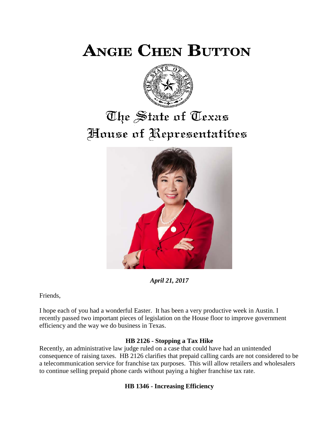**ANGIE CHEN BUTTON** 



# The State of Texas House of Representatibes



*April 21, 2017*

Friends,

I hope each of you had a wonderful Easter. It has been a very productive week in Austin. I recently passed two important pieces of legislation on the House floor to improve government efficiency and the way we do business in Texas.

### **HB 2126 - Stopping a Tax Hike**

Recently, an administrative law judge ruled on a case that could have had an unintended consequence of raising taxes. HB 2126 clarifies that prepaid calling cards are not considered to be a telecommunication service for franchise tax purposes. This will allow retailers and wholesalers to continue selling prepaid phone cards without paying a higher franchise tax rate.

## **HB 1346 - Increasing Efficiency**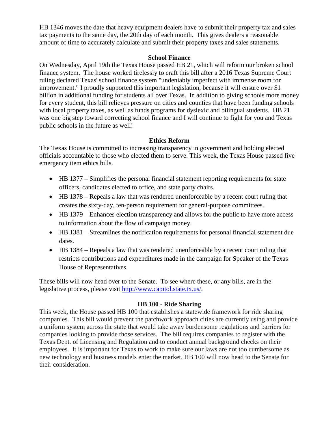HB 1346 moves the date that heavy equipment dealers have to submit their property tax and sales tax payments to the same day, the 20th day of each month. This gives dealers a reasonable amount of time to accurately calculate and submit their property taxes and sales statements.

#### **School Finance**

On Wednesday, April 19th the Texas House passed HB 21, which will reform our broken school finance system. The house worked tirelessly to craft this bill after a 2016 Texas Supreme Court ruling declared Texas' school finance system "undeniably imperfect with immense room for improvement." I proudly supported this important legislation, because it will ensure over \$1 billion in additional funding for students all over Texas. In addition to giving schools more money for every student, this bill relieves pressure on cities and counties that have been funding schools with local property taxes, as well as funds programs for dyslexic and bilingual students. HB 21 was one big step toward correcting school finance and I will continue to fight for you and Texas public schools in the future as well!

#### **Ethics Reform**

The Texas House is committed to increasing transparency in government and holding elected officials accountable to those who elected them to serve. This week, the Texas House passed five emergency item ethics bills.

- HB 1377 Simplifies the personal financial statement reporting requirements for state officers, candidates elected to office, and state party chairs.
- HB 1378 Repeals a law that was rendered unenforceable by a recent court ruling that creates the sixty-day, ten-person requirement for general-purpose committees.
- HB 1379 Enhances election transparency and allows for the public to have more access to information about the flow of campaign money.
- HB 1381 Streamlines the notification requirements for personal financial statement due dates.
- HB 1384 Repeals a law that was rendered unenforceable by a recent court ruling that restricts contributions and expenditures made in the campaign for Speaker of the Texas House of Representatives.

These bills will now head over to the Senate. To see where these, or any bills, are in the legislative process, please visit [http://www.capitol.state.tx.us/.](http://www.capitol.state.tx.us/)

#### **HB 100 - Ride Sharing**

This week, the House passed HB 100 that establishes a statewide framework for ride sharing companies. This bill would prevent the patchwork approach cities are currently using and provide a uniform system across the state that would take away burdensome regulations and barriers for companies looking to provide those services. The bill requires companies to register with the Texas Dept. of Licensing and Regulation and to conduct annual background checks on their employees. It is important for Texas to work to make sure our laws are not too cumbersome as new technology and business models enter the market. HB 100 will now head to the Senate for their consideration.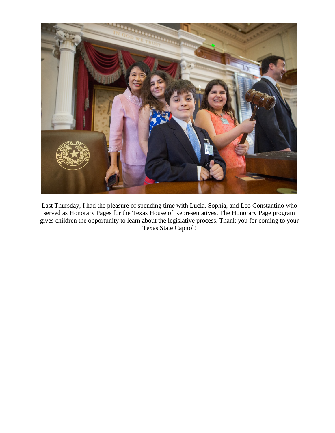

Last Thursday, I had the pleasure of spending time with Lucia, Sophia, and Leo Constantino who served as Honorary Pages for the Texas House of Representatives. The Honorary Page program gives children the opportunity to learn about the legislative process. Thank you for coming to your Texas State Capitol!